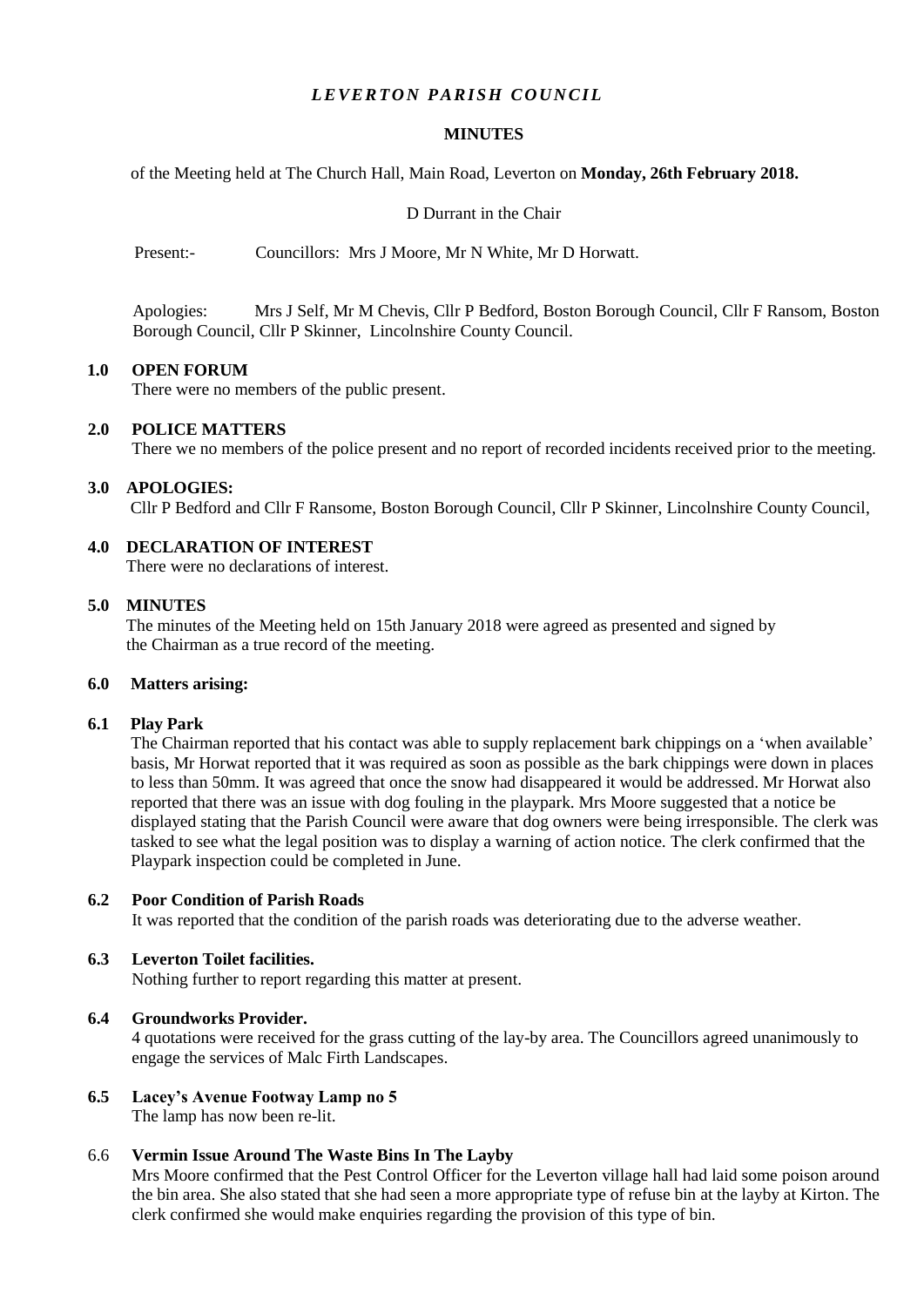# *LEVERTON PARISH COUNCIL*

## **MINUTES**

of the Meeting held at The Church Hall, Main Road, Leverton on **Monday, 26th February 2018.**

#### D Durrant in the Chair

Present:- Councillors: Mrs J Moore, Mr N White, Mr D Horwatt.

Apologies: Mrs J Self, Mr M Chevis, Cllr P Bedford, Boston Borough Council, Cllr F Ransom, Boston Borough Council, Cllr P Skinner, Lincolnshire County Council.

#### **1.0 OPEN FORUM**

There were no members of the public present.

## **2.0 POLICE MATTERS**

There we no members of the police present and no report of recorded incidents received prior to the meeting.

## **3.0 APOLOGIES:**

Cllr P Bedford and Cllr F Ransome, Boston Borough Council, Cllr P Skinner, Lincolnshire County Council,

# **4.0 DECLARATION OF INTEREST**

There were no declarations of interest.

#### **5.0 MINUTES**

 The minutes of the Meeting held on 15th January 2018 were agreed as presented and signed by the Chairman as a true record of the meeting.

#### **6.0 Matters arising:**

#### **6.1 Play Park**

The Chairman reported that his contact was able to supply replacement bark chippings on a 'when available' basis, Mr Horwat reported that it was required as soon as possible as the bark chippings were down in places to less than 50mm. It was agreed that once the snow had disappeared it would be addressed. Mr Horwat also reported that there was an issue with dog fouling in the playpark. Mrs Moore suggested that a notice be displayed stating that the Parish Council were aware that dog owners were being irresponsible. The clerk was tasked to see what the legal position was to display a warning of action notice. The clerk confirmed that the Playpark inspection could be completed in June.

## **6.2 Poor Condition of Parish Roads**

It was reported that the condition of the parish roads was deteriorating due to the adverse weather.

# **6.3 Leverton Toilet facilities.**

Nothing further to report regarding this matter at present.

#### **6.4 Groundworks Provider.**

4 quotations were received for the grass cutting of the lay-by area. The Councillors agreed unanimously to engage the services of Malc Firth Landscapes.

# **6.5 Lacey's Avenue Footway Lamp no 5**

The lamp has now been re-lit.

## 6.6 **Vermin Issue Around The Waste Bins In The Layby**

Mrs Moore confirmed that the Pest Control Officer for the Leverton village hall had laid some poison around the bin area. She also stated that she had seen a more appropriate type of refuse bin at the layby at Kirton. The clerk confirmed she would make enquiries regarding the provision of this type of bin.